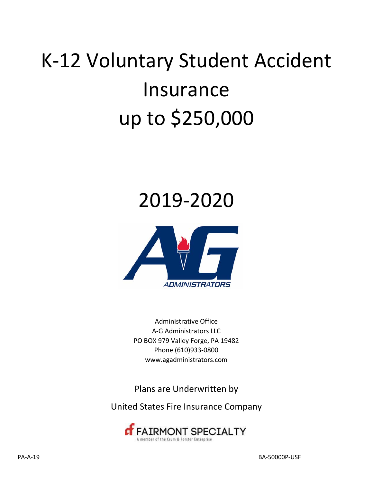# K‐12 Voluntary Student Accident Insurance up to \$250,000

## 2019-2020



Administrative Office A‐G Administrators LLC PO BOX 979 Valley Forge, PA 19482 Phone (610)933‐0800 www.agadministrators.com

Plans are Underwritten by

United States Fire Insurance Company

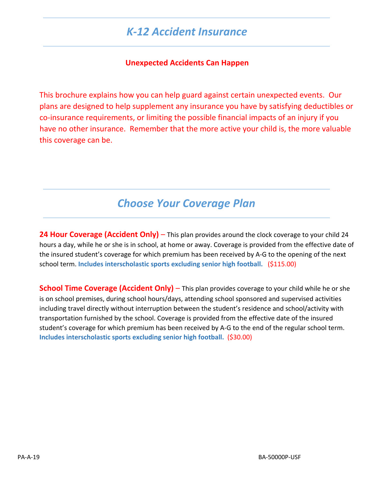### *K‐12 Accident Insurance*

#### **Unexpected Accidents Can Happen**

This brochure explains how you can help guard against certain unexpected events. Our plans are designed to help supplement any insurance you have by satisfying deductibles or co‐insurance requirements, or limiting the possible financial impacts of an injury if you have no other insurance. Remember that the more active your child is, the more valuable this coverage can be.

### *Choose Your Coverage Plan*

**24 Hour Coverage (Accident Only)** – This plan provides around the clock coverage to your child 24 hours a day, while he or she is in school, at home or away. Coverage is provided from the effective date of the insured student's coverage for which premium has been received by A‐G to the opening of the next school term. **Includes interscholastic sports excluding senior high football.** (\$115.00)

**School Time Coverage (Accident Only)** – This plan provides coverage to your child while he or she is on school premises, during school hours/days, attending school sponsored and supervised activities including travel directly without interruption between the student's residence and school/activity with transportation furnished by the school. Coverage is provided from the effective date of the insured student's coverage for which premium has been received by A‐G to the end of the regular school term. **Includes interscholastic sports excluding senior high football.** (\$30.00)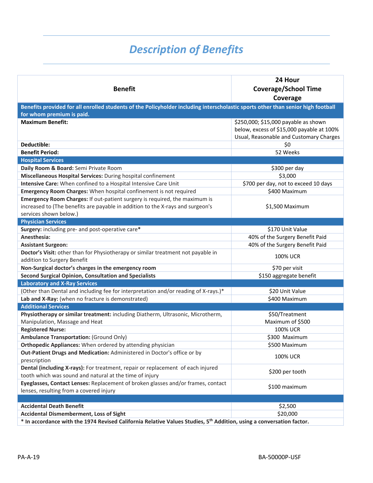### *Description of Benefits*

| <b>Benefit</b>                                                                                                                                                                         | 24 Hour<br><b>Coverage/School Time</b><br>Coverage                                                                           |
|----------------------------------------------------------------------------------------------------------------------------------------------------------------------------------------|------------------------------------------------------------------------------------------------------------------------------|
| Benefits provided for all enrolled students of the Policyholder including interscholastic sports other than senior high football<br>for whom premium is paid.                          |                                                                                                                              |
| <b>Maximum Benefit:</b>                                                                                                                                                                | \$250,000; \$15,000 payable as shown<br>below, excess of \$15,000 payable at 100%<br>Usual, Reasonable and Customary Charges |
| Deductible:                                                                                                                                                                            | \$0                                                                                                                          |
| <b>Benefit Period:</b>                                                                                                                                                                 | 52 Weeks                                                                                                                     |
| <b>Hospital Services</b>                                                                                                                                                               |                                                                                                                              |
| Daily Room & Board: Semi Private Room                                                                                                                                                  | \$300 per day                                                                                                                |
| Miscellaneous Hospital Services: During hospital confinement                                                                                                                           | \$3,000                                                                                                                      |
| Intensive Care: When confined to a Hospital Intensive Care Unit                                                                                                                        | \$700 per day, not to exceed 10 days                                                                                         |
| Emergency Room Charges: When hospital confinement is not required                                                                                                                      | \$400 Maximum                                                                                                                |
| Emergency Room Charges: If out-patient surgery is required, the maximum is<br>increased to (The benefits are payable in addition to the X-rays and surgeon's<br>services shown below.) | \$1,500 Maximum                                                                                                              |
| <b>Physician Services</b>                                                                                                                                                              |                                                                                                                              |
| Surgery: including pre- and post-operative care*                                                                                                                                       | \$170 Unit Value                                                                                                             |
| Anesthesia:                                                                                                                                                                            | 40% of the Surgery Benefit Paid                                                                                              |
| <b>Assistant Surgeon:</b>                                                                                                                                                              | 40% of the Surgery Benefit Paid                                                                                              |
| Doctor's Visit: other than for Physiotherapy or similar treatment not payable in<br>addition to Surgery Benefit                                                                        | <b>100% UCR</b>                                                                                                              |
| Non-Surgical doctor's charges in the emergency room                                                                                                                                    | \$70 per visit                                                                                                               |
| <b>Second Surgical Opinion, Consultation and Specialists</b>                                                                                                                           | \$150 aggregate benefit                                                                                                      |
| <b>Laboratory and X-Ray Services</b>                                                                                                                                                   |                                                                                                                              |
| (Other than Dental and including fee for interpretation and/or reading of X-rays.)*                                                                                                    | \$20 Unit Value                                                                                                              |
| Lab and X-Ray: (when no fracture is demonstrated)                                                                                                                                      | \$400 Maximum                                                                                                                |
| <b>Additional Services</b>                                                                                                                                                             |                                                                                                                              |
| Physiotherapy or similar treatment: including Diatherm, Ultrasonic, Microtherm,<br>Manipulation, Massage and Heat                                                                      | \$50/Treatment<br>Maximum of \$500                                                                                           |
| <b>Registered Nurse:</b>                                                                                                                                                               | <b>100% UCR</b>                                                                                                              |
| <b>Ambulance Transportation: (Ground Only)</b>                                                                                                                                         | \$300 Maximum                                                                                                                |
| Orthopedic Appliances: When ordered by attending physician                                                                                                                             | \$500 Maximum                                                                                                                |
| Out-Patient Drugs and Medication: Administered in Doctor's office or by<br>prescription                                                                                                | <b>100% UCR</b>                                                                                                              |
| Dental (including X-rays): For treatment, repair or replacement of each injured<br>tooth which was sound and natural at the time of injury                                             | \$200 per tooth                                                                                                              |
| Eyeglasses, Contact Lenses: Replacement of broken glasses and/or frames, contact<br>lenses, resulting from a covered injury                                                            | \$100 maximum                                                                                                                |
|                                                                                                                                                                                        |                                                                                                                              |
| <b>Accidental Death Benefit</b>                                                                                                                                                        | \$2,500                                                                                                                      |
| <b>Accidental Dismemberment, Loss of Sight</b>                                                                                                                                         | \$20,000                                                                                                                     |
| * In accordance with the 1974 Revised California Relative Values Studies, 5th Addition, using a conversation factor.                                                                   |                                                                                                                              |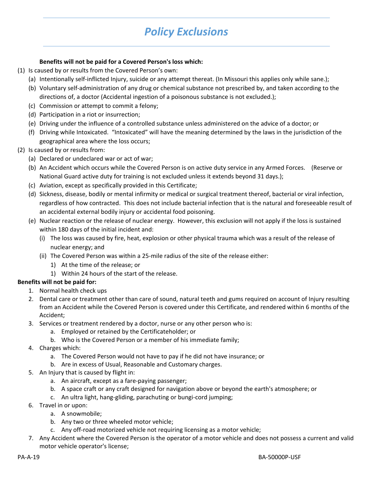### *Policy Exclusions*

#### **Benefits will not be paid for a Covered Person's loss which:**

- (1) Is caused by or results from the Covered Person's own:
	- (a) Intentionally self‐inflicted Injury, suicide or any attempt thereat. (In Missouri this applies only while sane.);
	- (b) Voluntary self‐administration of any drug or chemical substance not prescribed by, and taken according to the directions of, a doctor (Accidental ingestion of a poisonous substance is not excluded.);
	- (c) Commission or attempt to commit a felony;
	- (d) Participation in a riot or insurrection;
	- (e) Driving under the influence of a controlled substance unless administered on the advice of a doctor; or
	- (f) Driving while Intoxicated. "Intoxicated" will have the meaning determined by the laws in the jurisdiction of the geographical area where the loss occurs;
- (2) Is caused by or results from:
	- (a) Declared or undeclared war or act of war;
	- (b) An Accident which occurs while the Covered Person is on active duty service in any Armed Forces. (Reserve or National Guard active duty for training is not excluded unless it extends beyond 31 days.);
	- (c) Aviation, except as specifically provided in this Certificate;
	- (d) Sickness, disease, bodily or mental infirmity or medical or surgical treatment thereof, bacterial or viral infection, regardless of how contracted. This does not include bacterial infection that is the natural and foreseeable result of an accidental external bodily injury or accidental food poisoning.
	- (e) Nuclear reaction or the release of nuclear energy. However, this exclusion will not apply if the loss is sustained within 180 days of the initial incident and:
		- (i) The loss was caused by fire, heat, explosion or other physical trauma which was a result of the release of nuclear energy; and
		- (ii) The Covered Person was within a 25‐mile radius of the site of the release either:
			- 1) At the time of the release; or
			- 1) Within 24 hours of the start of the release.

#### **Benefits will not be paid for:**

- 1. Normal health check ups
- 2. Dental care or treatment other than care of sound, natural teeth and gums required on account of Injury resulting from an Accident while the Covered Person is covered under this Certificate, and rendered within 6 months of the Accident;
- 3. Services or treatment rendered by a doctor, nurse or any other person who is:
	- a. Employed or retained by the Certificateholder; or
	- b. Who is the Covered Person or a member of his immediate family;
- 4. Charges which:
	- a. The Covered Person would not have to pay if he did not have insurance; or
	- b. Are in excess of Usual, Reasonable and Customary charges.
- 5. An Injury that is caused by flight in:
	- a. An aircraft, except as a fare‐paying passenger;
	- b. A space craft or any craft designed for navigation above or beyond the earth's atmosphere; or
	- c. An ultra light, hang‐gliding, parachuting or bungi‐cord jumping;
- 6. Travel in or upon:
	- a. A snowmobile;
	- b. Any two or three wheeled motor vehicle;
	- c. Any off‐road motorized vehicle not requiring licensing as a motor vehicle;
- 7. Any Accident where the Covered Person is the operator of a motor vehicle and does not possess a current and valid motor vehicle operator's license;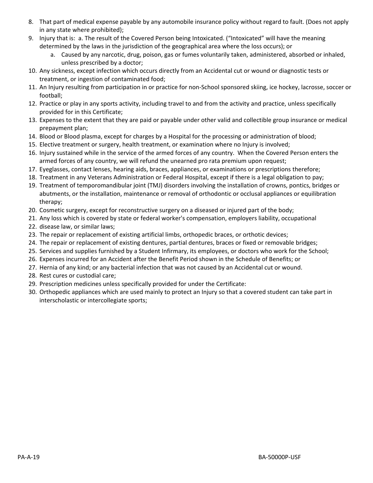- 8. That part of medical expense payable by any automobile insurance policy without regard to fault. (Does not apply in any state where prohibited);
- 9. Injury that is: a. The result of the Covered Person being Intoxicated. ("Intoxicated" will have the meaning determined by the laws in the jurisdiction of the geographical area where the loss occurs); or
	- a. Caused by any narcotic, drug, poison, gas or fumes voluntarily taken, administered, absorbed or inhaled, unless prescribed by a doctor;
- 10. Any sickness, except infection which occurs directly from an Accidental cut or wound or diagnostic tests or treatment, or ingestion of contaminated food;
- 11. An Injury resulting from participation in or practice for non‐School sponsored skiing, ice hockey, lacrosse, soccer or football;
- 12. Practice or play in any sports activity, including travel to and from the activity and practice, unless specifically provided for in this Certificate;
- 13. Expenses to the extent that they are paid or payable under other valid and collectible group insurance or medical prepayment plan;
- 14. Blood or Blood plasma, except for charges by a Hospital for the processing or administration of blood;
- 15. Elective treatment or surgery, health treatment, or examination where no Injury is involved;
- 16. Injury sustained while in the service of the armed forces of any country. When the Covered Person enters the armed forces of any country, we will refund the unearned pro rata premium upon request;
- 17. Eyeglasses, contact lenses, hearing aids, braces, appliances, or examinations or prescriptions therefore;
- 18. Treatment in any Veterans Administration or Federal Hospital, except if there is a legal obligation to pay;
- 19. Treatment of temporomandibular joint (TMJ) disorders involving the installation of crowns, pontics, bridges or abutments, or the installation, maintenance or removal of orthodontic or occlusal appliances or equilibration therapy;
- 20. Cosmetic surgery, except for reconstructive surgery on a diseased or injured part of the body;
- 21. Any loss which is covered by state or federal worker's compensation, employers liability, occupational
- 22. disease law, or similar laws;
- 23. The repair or replacement of existing artificial limbs, orthopedic braces, or orthotic devices;
- 24. The repair or replacement of existing dentures, partial dentures, braces or fixed or removable bridges;
- 25. Services and supplies furnished by a Student Infirmary, its employees, or doctors who work for the School;
- 26. Expenses incurred for an Accident after the Benefit Period shown in the Schedule of Benefits; or
- 27. Hernia of any kind; or any bacterial infection that was not caused by an Accidental cut or wound.
- 28. Rest cures or custodial care;
- 29. Prescription medicines unless specifically provided for under the Certificate:
- 30. Orthopedic appliances which are used mainly to protect an Injury so that a covered student can take part in interscholastic or intercollegiate sports;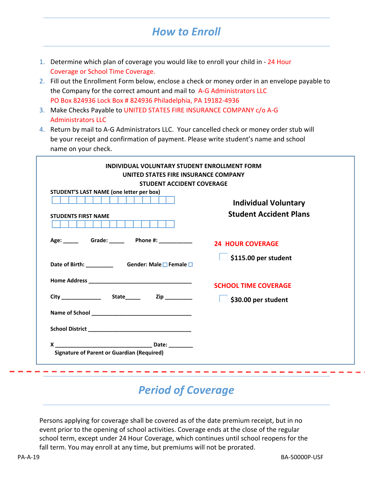### *How to Enroll*

- 1. Determine which plan of coverage you would like to enroll your child in ‐ 24 Hour Coverage or School Time Coverage.
- 2. Fill out the Enrollment Form below, enclose a check or money order in an envelope payable to the Company for the correct amount and mail to A-G Administrators LLC PO Box 824936 Lock Box # 824936 Philadelphia, PA 19182-4936
- 3. Make Checks Payable to UNITED STATES FIRE INSURANCE COMPANY c/o A‐G Administrators LLC
- 4. Return by mail to A‐G Administrators LLC. Your cancelled check or money order stub will be your receipt and confirmation of payment. Please write student's name and school name on your check.

| <b>STUDENT ACCIDENT COVERAGE</b>                                       |                                                              |
|------------------------------------------------------------------------|--------------------------------------------------------------|
| STUDENT'S LAST NAME (one letter per box)<br><b>STUDENTS FIRST NAME</b> | <b>Individual Voluntary</b><br><b>Student Accident Plans</b> |
| Age: Grade: Phone #: 24 HOUR COVERAGE                                  |                                                              |
| Date of Birth: ____________________Gender: Male □ Female □             | \$115.00 per student                                         |
|                                                                        | <b>SCHOOL TIME COVERAGE</b>                                  |
|                                                                        | $\Box$ \$30.00 per student                                   |
|                                                                        |                                                              |
|                                                                        |                                                              |
|                                                                        |                                                              |

### *Period of Coverage*

Persons applying for coverage shall be covered as of the date premium receipt, but in no event prior to the opening of school activities. Coverage ends at the close of the regular school term, except under 24 Hour Coverage, which continues until school reopens for the fall term. You may enroll at any time, but premiums will not be prorated.